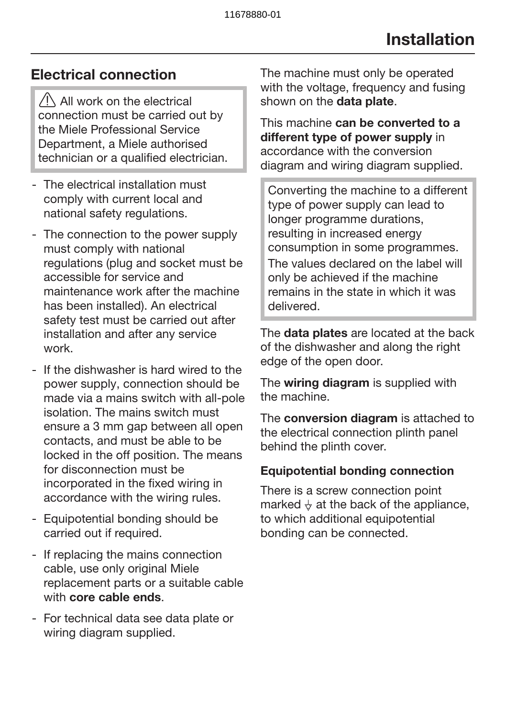### Electrical connection

 $\bigwedge$  All work on the electrical connection must be carried out by the Miele Professional Service Department, a Miele authorised technician or a qualified electrician.

- The electrical installation must comply with current local and national safety regulations.
- The connection to the power supply must comply with national regulations (plug and socket must be accessible for service and maintenance work after the machine has been installed). An electrical safety test must be carried out after installation and after any service work.
- If the dishwasher is hard wired to the power supply, connection should be made via a mains switch with all-pole isolation. The mains switch must ensure a 3 mm gap between all open contacts, and must be able to be locked in the off position. The means for disconnection must be incorporated in the fixed wiring in accordance with the wiring rules.
- Equipotential bonding should be carried out if required.
- If replacing the mains connection cable, use only original Miele replacement parts or a suitable cable with core cable ends.
- For technical data see data plate or wiring diagram supplied.

The machine must only be operated with the voltage, frequency and fusing shown on the **data plate**.

This machine can be converted to a different type of power supply in accordance with the conversion diagram and wiring diagram supplied.

Converting the machine to a different type of power supply can lead to longer programme durations, resulting in increased energy consumption in some programmes. The values declared on the label will only be achieved if the machine remains in the state in which it was delivered.

The **data plates** are located at the back of the dishwasher and along the right edge of the open door.

The wiring diagram is supplied with the machine.

The **conversion diagram** is attached to the electrical connection plinth panel behind the plinth cover.

### Equipotential bonding connection

There is a screw connection point marked  $\psi$  at the back of the appliance, to which additional equipotential bonding can be connected.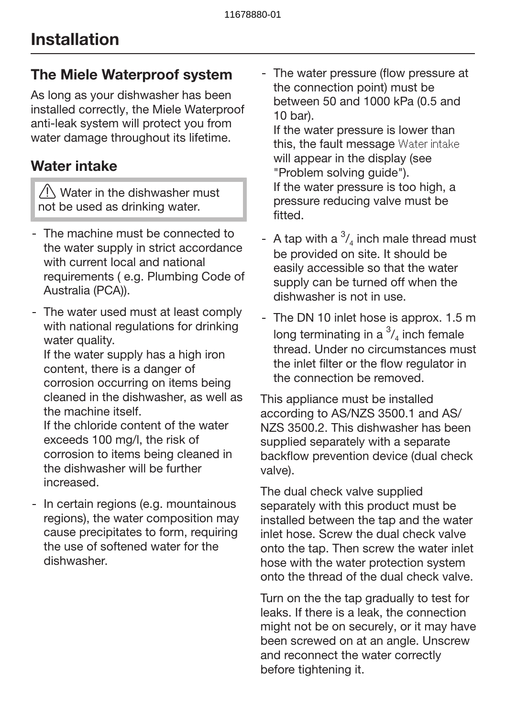## The Miele Waterproof system

As long as your dishwasher has been installed correctly, the Miele Waterproof anti-leak system will protect you from water damage throughout its lifetime.

## Water intake

 $\sqrt{N}$  Water in the dishwasher must not be used as drinking water.

- The machine must be connected to the water supply in strict accordance with current local and national requirements ( e.g. Plumbing Code of Australia (PCA)).
- The water used must at least comply with national regulations for drinking water quality.

If the water supply has a high iron content, there is a danger of corrosion occurring on items being cleaned in the dishwasher, as well as the machine itself.

If the chloride content of the water exceeds 100 mg/l, the risk of corrosion to items being cleaned in the dishwasher will be further increased.

- In certain regions (e.g. mountainous regions), the water composition may cause precipitates to form, requiring the use of softened water for the dishwasher.

- The water pressure (flow pressure at the connection point) must be between 50 and 1000 kPa (0.5 and 10 bar).

If the water pressure is lower than this, the fault message Water intake will appear in the display (see "Problem solving guide"). If the water pressure is too high, a pressure reducing valve must be fitted.

- A tap with a  $\frac{3}{4}$  inch male thread must be provided on site. It should be easily accessible so that the water supply can be turned off when the dishwasher is not in use.
- The DN 10 inlet hose is approx. 1.5 m long terminating in a  $\frac{3}{4}$  inch female thread. Under no circumstances must the inlet filter or the flow regulator in the connection be removed.

This appliance must be installed according to AS/NZS 3500.1 and AS/ NZS 3500.2. This dishwasher has been supplied separately with a separate backflow prevention device (dual check valve).

The dual check valve supplied separately with this product must be installed between the tap and the water inlet hose. Screw the dual check valve onto the tap. Then screw the water inlet hose with the water protection system onto the thread of the dual check valve.

Turn on the the tap gradually to test for leaks. If there is a leak, the connection might not be on securely, or it may have been screwed on at an angle. Unscrew and reconnect the water correctly before tightening it.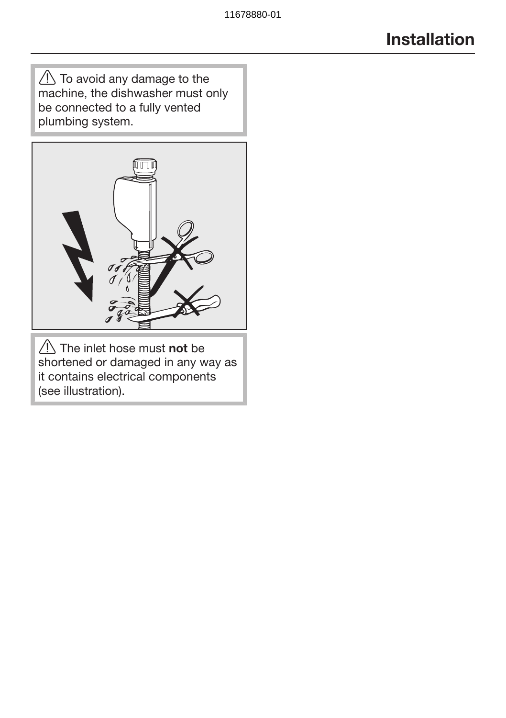## Installation

 $\sqrt{1}$  To avoid any damage to the machine, the dishwasher must only be connected to a fully vented plumbing system.



 $\sqrt{!}$  The inlet hose must not be shortened or damaged in any way as it contains electrical components (see illustration).